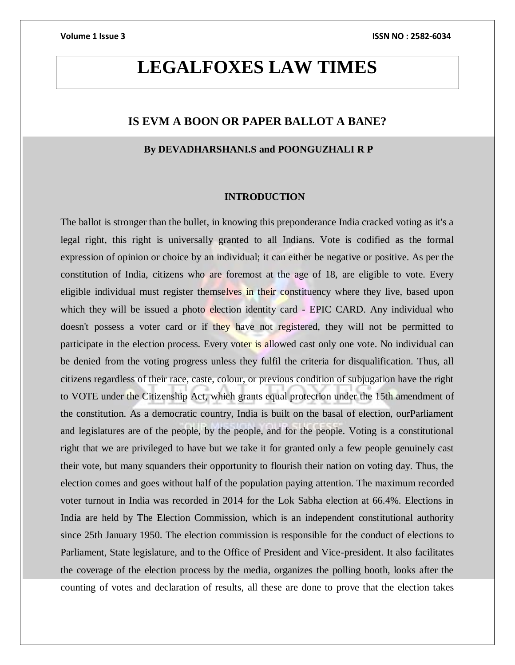# **LEGALFOXES LAW TIMES**

# **IS EVM A BOON OR PAPER BALLOT A BANE?**

# **By DEVADHARSHANI.S and POONGUZHALI R P**

### **INTRODUCTION**

The ballot is stronger than the bullet, in knowing this preponderance India cracked voting as it's a legal right, this right is universally granted to all Indians. Vote is codified as the formal expression of opinion or choice by an individual; it can either be negative or positive. As per the constitution of India, citizens who are foremost at the age of 18, are eligible to vote. Every eligible individual must register themselves in their constituency where they live, based upon which they will be issued a photo election identity card - EPIC CARD. Any individual who doesn't possess a voter card or if they have not registered, they will not be permitted to participate in the election process. Every voter is allowed cast only one vote. No individual can be denied from the voting progress unless they fulfil the criteria for disqualification. Thus, all citizens regardless of their race, caste, colour, or previous condition of subjugation have the right to VOTE under the Citizenship Act, which grants equal protection under the 15th amendment of the constitution. As a democratic country, India is built on the basal of election, ourParliament and legislatures are of the people, by the people, and for the people. Voting is a constitutional right that we are privileged to have but we take it for granted only a few people genuinely cast their vote, but many squanders their opportunity to flourish their nation on voting day. Thus, the election comes and goes without half of the population paying attention. The maximum recorded voter turnout in India was recorded in 2014 for the Lok Sabha election at 66.4%. Elections in India are held by The Election Commission, which is an independent constitutional authority since 25th January 1950. The election commission is responsible for the conduct of elections to Parliament, State legislature, and to the Office of President and Vice-president. It also facilitates the coverage of the election process by the media, organizes the polling booth, looks after the counting of votes and declaration of results, all these are done to prove that the election takes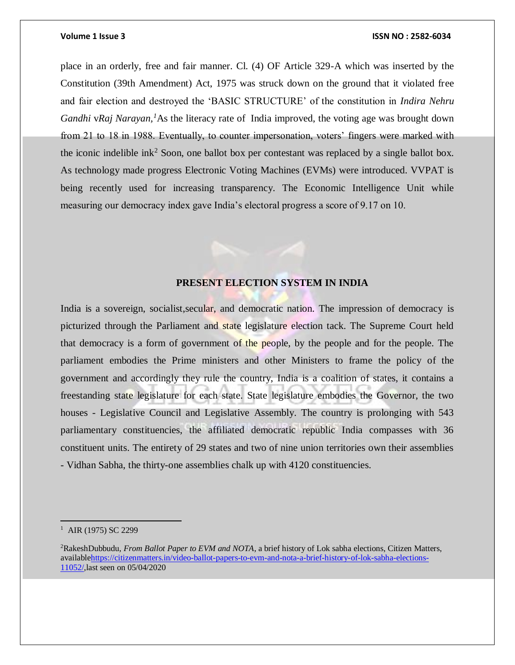place in an orderly, free and fair manner. Cl. (4) OF Article 329-A which was inserted by the Constitution (39th Amendment) Act, 1975 was struck down on the ground that it violated free and fair election and destroyed the 'BASIC STRUCTURE' of the constitution in *Indira Nehru Gandhi* v*Raj Narayan,<sup>1</sup>*As the literacy rate of India improved, the voting age was brought down from 21 to 18 in 1988. Eventually, to counter impersonation, voters' fingers were marked with the iconic indelible ink<sup>2</sup> Soon, one ballot box per contestant was replaced by a single ballot box. As technology made progress Electronic Voting Machines (EVMs) were introduced. VVPAT is being recently used for increasing transparency. The Economic Intelligence Unit while measuring our democracy index gave India's electoral progress a score of 9.17 on 10.

# **PRESENT ELECTION SYSTEM IN INDIA**

India is a sovereign, socialist, secular, and democratic nation. The impression of democracy is picturized through the Parliament and state legislature election tack. The Supreme Court held that democracy is a form of government of the people, by the people and for the people. The parliament embodies the Prime ministers and other Ministers to frame the policy of the government and accordingly they rule the country, India is a coalition of states, it contains a freestanding state legislature for each state. State legislature embodies the Governor, the two houses - Legislative Council and Legislative Assembly. The country is prolonging with 543 parliamentary constituencies, the affiliated democratic republic India compasses with 36 constituent units. The entirety of 29 states and two of nine union territories own their assemblies - Vidhan Sabha, the thirty-one assemblies chalk up with 4120 constituencies.

 $\overline{a}$ 

<sup>&</sup>lt;sup>1</sup> AIR (1975) SC 2299

<sup>2</sup>[RakeshDubbudu](https://citizenmatters.in/author/rakeshdubbudu)*, From Ballot Paper to EVM and NOTA*, a brief history of Lok sabha elections, Citizen Matters, availabl[ehttps://citizenmatters.in/video-ballot-papers-to-evm-and-nota-a-brief-history-of-lok-sabha-elections-](https://citizenmatters.in/video-ballot-papers-to-evm-and-nota-a-brief-history-of-lok-sabha-elections-11052/)[11052/,](https://citizenmatters.in/video-ballot-papers-to-evm-and-nota-a-brief-history-of-lok-sabha-elections-11052/)last seen on 05/04/2020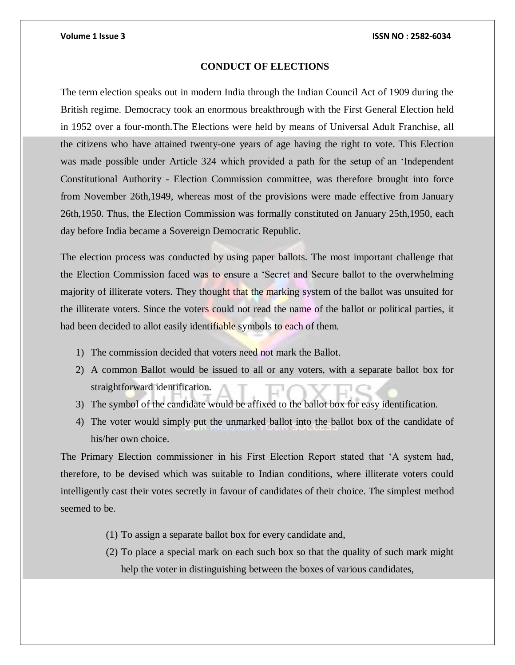# **CONDUCT OF ELECTIONS**

The term election speaks out in modern India through the Indian Council Act of 1909 during the British regime. Democracy took an enormous breakthrough with the First General Election held in 1952 over a four-month.The Elections were held by means of Universal Adult Franchise, all the citizens who have attained twenty-one years of age having the right to vote. This Election was made possible under Article 324 which provided a path for the setup of an 'Independent Constitutional Authority - Election Commission committee, was therefore brought into force from November 26th,1949, whereas most of the provisions were made effective from January 26th,1950. Thus, the Election Commission was formally constituted on January 25th,1950, each day before India became a Sovereign Democratic Republic.

The election process was conducted by using paper ballots. The most important challenge that the Election Commission faced was to ensure a 'Secret and Secure ballot to the overwhelming majority of illiterate voters. They thought that the marking system of the ballot was unsuited for the illiterate voters. Since the voters could not read the name of the ballot or political parties, it had been decided to allot easily identifiable symbols to each of them.

- 1) The commission decided that voters need not mark the Ballot.
- 2) A common Ballot would be issued to all or any voters, with a separate ballot box for straightforward identification.
- 3) The symbol of the candidate would be affixed to the ballot box for easy identification.
- 4) The voter would simply put the unmarked ballot into the ballot box of the candidate of his/her own choice.

The Primary Election commissioner in his First Election Report stated that 'A system had, therefore, to be devised which was suitable to Indian conditions, where illiterate voters could intelligently cast their votes secretly in favour of candidates of their choice. The simplest method seemed to be.

- (1) To assign a separate ballot box for every candidate and,
- (2) To place a special mark on each such box so that the quality of such mark might help the voter in distinguishing between the boxes of various candidates,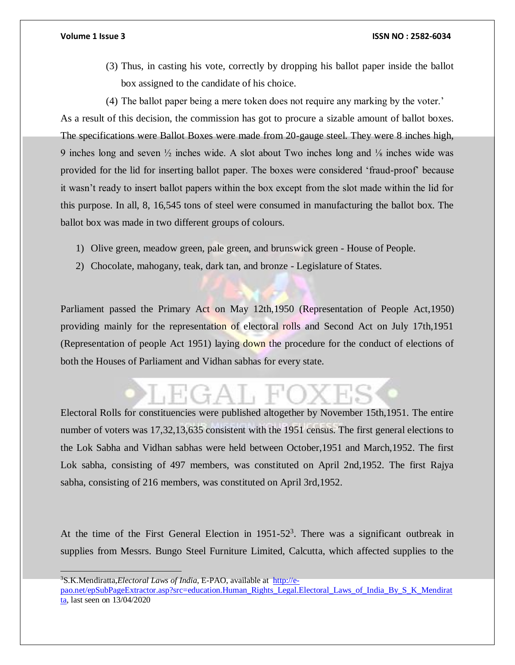- (3) Thus, in casting his vote, correctly by dropping his ballot paper inside the ballot box assigned to the candidate of his choice.
- (4) The ballot paper being a mere token does not require any marking by the voter.'

As a result of this decision, the commission has got to procure a sizable amount of ballot boxes. The specifications were Ballot Boxes were made from 20-gauge steel. They were 8 inches high, 9 inches long and seven ½ inches wide. A slot about Two inches long and ⅛ inches wide was provided for the lid for inserting ballot paper. The boxes were considered 'fraud-proof' because it wasn't ready to insert ballot papers within the box except from the slot made within the lid for this purpose. In all, 8, 16,545 tons of steel were consumed in manufacturing the ballot box. The ballot box was made in two different groups of colours.

- 1) Olive green, meadow green, pale green, and brunswick green House of People.
- 2) Chocolate, mahogany, teak, dark tan, and bronze Legislature of States.

Parliament passed the Primary Act on May 12th,1950 (Representation of People Act,1950) providing mainly for the representation of electoral rolls and Second Act on July 17th,1951 (Representation of people Act 1951) laying down the procedure for the conduct of elections of both the Houses of Parliament and Vidhan sabhas for every state.

Electoral Rolls for constituencies were published altogether by November 15th,1951. The entire number of voters was 17,32,13,635 consistent with the 1951 census. The first general elections to the Lok Sabha and Vidhan sabhas were held between October,1951 and March,1952. The first Lok sabha, consisting of 497 members, was constituted on April 2nd,1952. The first Rajya sabha, consisting of 216 members, was constituted on April 3rd,1952.

At the time of the First General Election in  $1951-52<sup>3</sup>$ . There was a significant outbreak in supplies from Messrs. Bungo Steel Furniture Limited, Calcutta, which affected supplies to the

<sup>3</sup>S.K.Mendiratta,*Electoral Laws of India*, E-PAO, available at [http://e](http://e-pao.net/epSubPageExtractor.asp?src=education.Human_Rights_Legal.Electoral_Laws_of_India_By_S_K_Mendiratta)[pao.net/epSubPageExtractor.asp?src=education.Human\\_Rights\\_Legal.Electoral\\_Laws\\_of\\_India\\_By\\_S\\_K\\_Mendirat](http://e-pao.net/epSubPageExtractor.asp?src=education.Human_Rights_Legal.Electoral_Laws_of_India_By_S_K_Mendiratta) [ta,](http://e-pao.net/epSubPageExtractor.asp?src=education.Human_Rights_Legal.Electoral_Laws_of_India_By_S_K_Mendiratta) last seen on 13/04/2020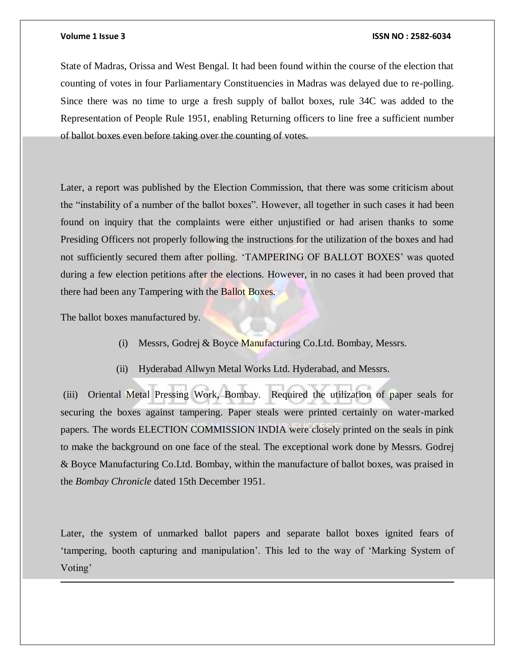State of Madras, Orissa and West Bengal. It had been found within the course of the election that counting of votes in four Parliamentary Constituencies in Madras was delayed due to re-polling. Since there was no time to urge a fresh supply of ballot boxes, rule 34C was added to the Representation of People Rule 1951, enabling Returning officers to line free a sufficient number of ballot boxes even before taking over the counting of votes.

Later, a report was published by the Election Commission, that there was some criticism about the "instability of a number of the ballot boxes". However, all together in such cases it had been found on inquiry that the complaints were either unjustified or had arisen thanks to some Presiding Officers not properly following the instructions for the utilization of the boxes and had not sufficiently secured them after polling. 'TAMPERING OF BALLOT BOXES' was quoted during a few election petitions after the elections. However, in no cases it had been proved that there had been any Tampering with the Ballot Boxes.

The ballot boxes manufactured by.

 $\overline{a}$ 

- (i) Messrs, Godrej & Boyce Manufacturing Co.Ltd. Bombay, Messrs.
- (ii) Hyderabad Allwyn Metal Works Ltd. Hyderabad, and Messrs.

(iii) Oriental Metal Pressing Work, Bombay. Required the utilization of paper seals for securing the boxes against tampering. Paper steals were printed certainly on water-marked papers. The words ELECTION COMMISSION INDIA were closely printed on the seals in pink to make the background on one face of the steal. The exceptional work done by Messrs. Godrej & Boyce Manufacturing Co.Ltd. Bombay, within the manufacture of ballot boxes, was praised in the *Bombay Chronicle* dated 15th December 1951.

Later, the system of unmarked ballot papers and separate ballot boxes ignited fears of 'tampering, booth capturing and manipulation'. This led to the way of 'Marking System of Voting'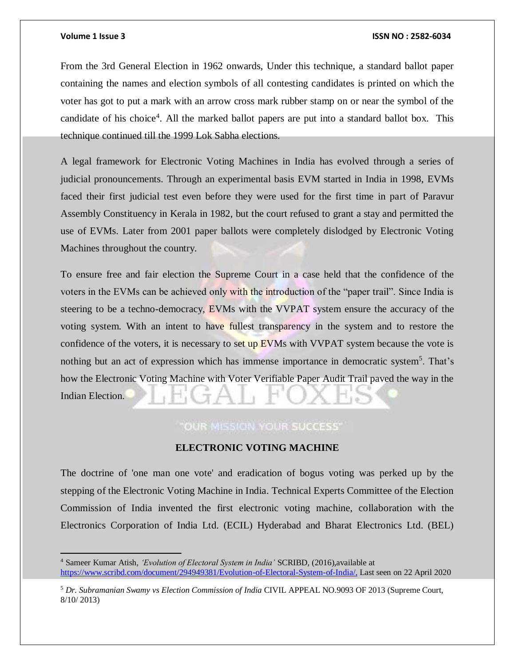### **Volume 1 Issue 3 ISSN NO : 2582-6034**

From the 3rd General Election in 1962 onwards, Under this technique, a standard ballot paper containing the names and election symbols of all contesting candidates is printed on which the voter has got to put a mark with an arrow cross mark rubber stamp on or near the symbol of the candidate of his choice<sup>4</sup>. All the marked ballot papers are put into a standard ballot box. This technique continued till the 1999 Lok Sabha elections.

A legal framework for Electronic Voting Machines in India has evolved through a series of judicial pronouncements. Through an experimental basis EVM started in India in 1998, EVMs faced their first judicial test even before they were used for the first time in part of Paravur Assembly Constituency in Kerala in 1982, but the court refused to grant a stay and permitted the use of EVMs. Later from 2001 paper ballots were completely dislodged by Electronic Voting Machines throughout the country.

To ensure free and fair election the Supreme Court in a case held that the confidence of the voters in the EVMs can be achieved only with the introduction of the "paper trail". Since India is steering to be a techno-democracy, EVMs with the VVPAT system ensure the accuracy of the voting system. With an intent to have fullest transparency in the system and to restore the confidence of the voters, it is necessary to set up EVMs with VVPAT system because the vote is nothing but an act of expression which has immense importance in democratic system<sup>5</sup>. That's how the Electronic Voting Machine with Voter Verifiable Paper Audit Trail paved the way in the Indian Election.

# "OUR MISSION YOUR SUCCESS"

# **ELECTRONIC VOTING MACHINE**

The doctrine of 'one man one vote' and eradication of bogus voting was perked up by the stepping of the Electronic Voting Machine in India. Technical Experts Committee of the Election Commission of India invented the first electronic voting machine, collaboration with the Electronics Corporation of India Ltd. (ECIL) Hyderabad and Bharat Electronics Ltd. (BEL)

<sup>4</sup> Sameer Kumar Atish, *'Evolution of Electoral System in India'* SCRIBD, (2016),available at <https://www.scribd.com/document/294949381/Evolution-of-Electoral-System-of-India/,> Last seen on 22 April 2020

<sup>5</sup> *Dr. Subramanian Swamy vs Election Commission of India* CIVIL APPEAL NO.9093 OF 2013 (Supreme Court, 8/10/ 2013)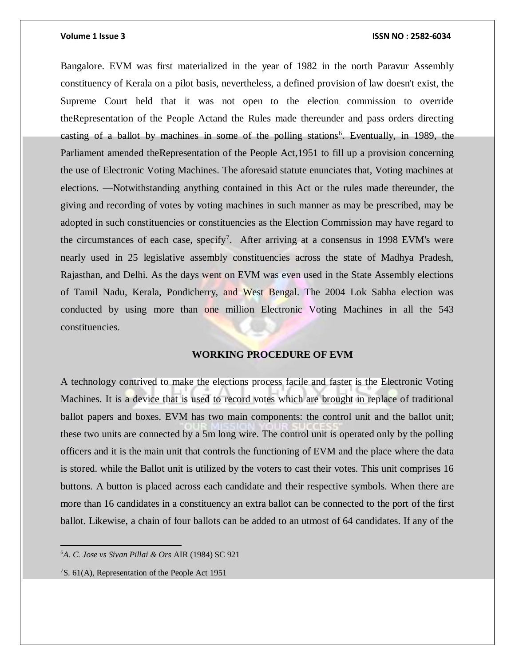Bangalore. EVM was first materialized in the year of 1982 in the north Paravur Assembly constituency of Kerala on a pilot basis, nevertheless, a defined provision of law doesn't exist, the Supreme Court held that it was not open to the election commission to override th[eRepresentation of the People Acta](https://indiankanoon.org/doc/320017/)nd the Rules made thereunder and pass orders directing casting of a ballot by machines in some of the polling stations<sup>6</sup>. Eventually, in 1989, the Parliament amended th[eRepresentation of the People Act,](https://indiankanoon.org/doc/320017/)1951 to fill up a provision concerning the use of Electronic Voting Machines. The aforesaid statute enunciates that, Voting machines at elections. —Notwithstanding anything contained in this Act or the rules made thereunder, the giving and recording of votes by voting machines in such manner as may be prescribed, may be adopted in such constituencies or constituencies as the Election Commission may have regard to the circumstances of each case, specify<sup>7</sup>. After arriving at a consensus in 1998 EVM's were nearly used in 25 legislative assembly constituencies across the state of Madhya Pradesh, Rajasthan, and Delhi. As the days went on EVM was even used in the State Assembly elections of Tamil Nadu, Kerala, Pondicherry, and West Bengal. The 2004 Lok Sabha election was conducted by using more than one million Electronic Voting Machines in all the 543 constituencies.

# **WORKING PROCEDURE OF EVM**

A technology contrived to make the elections process facile and faster is the Electronic Voting Machines. It is a device that is used to record votes which are brought in replace of traditional ballot papers and boxes. EVM has two main components: the control unit and the ballot unit; these two units are connected by a 5m long wire. The control unit is operated only by the polling officers and it is the main unit that controls the functioning of EVM and the place where the data is stored. while the Ballot unit is utilized by the voters to cast their votes. This unit comprises 16 buttons. A button is placed across each candidate and their respective symbols. When there are more than 16 candidates in a constituency an extra ballot can be connected to the port of the first ballot. Likewise, a chain of four ballots can be added to an utmost of 64 candidates. If any of the

7S. 61(A), Representation of the People Act 1951

<sup>6</sup>*A. C. Jose vs Sivan Pillai & Ors* AIR (1984) SC 921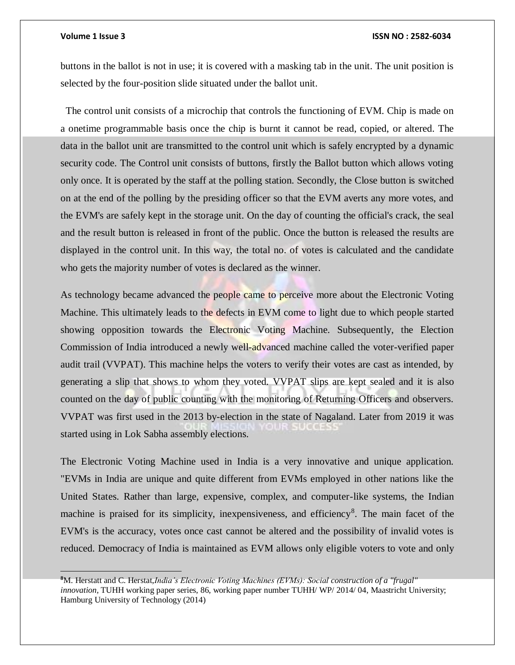### **Volume 1 Issue 3 ISSN NO : 2582-6034**

buttons in the ballot is not in use; it is covered with a masking tab in the unit. The unit position is selected by the four-position slide situated under the ballot unit.

 The control unit consists of a microchip that controls the functioning of EVM. Chip is made on a onetime programmable basis once the chip is burnt it cannot be read, copied, or altered. The data in the ballot unit are transmitted to the control unit which is safely encrypted by a dynamic security code. The Control unit consists of buttons, firstly the Ballot button which allows voting only once. It is operated by the staff at the polling station. Secondly, the Close button is switched on at the end of the polling by the presiding officer so that the EVM averts any more votes, and the EVM's are safely kept in the storage unit. On the day of counting the official's crack, the seal and the result button is released in front of the public. Once the button is released the results are displayed in the control unit. In this way, the total no. of votes is calculated and the candidate who gets the majority number of votes is declared as the winner.

As technology became advanced the people came to perceive more about the Electronic Voting Machine. This ultimately leads to the defects in EVM come to light due to which people started showing opposition towards the Electronic Voting Machine. Subsequently, the Election Commission of India introduced a newly well-advanced machine called the voter-verified paper audit trail (VVPAT). This machine helps the voters to verify their votes are cast as intended, by generating a slip that shows to whom they voted. VVPAT slips are kept sealed and it is also counted on the day of public counting with the monitoring of Returning Officers and observers. VVPAT was first used in the 2013 by-election in the state of Nagaland. Later from 2019 it was started using in Lok Sabha assembly elections.

The Electronic Voting Machine used in India is a very innovative and unique application. "EVMs in India are unique and quite different from EVMs employed in other nations like the United States. Rather than large, expensive, complex, and computer-like systems, the Indian machine is praised for its simplicity, inexpensiveness, and efficiency<sup>8</sup>. The main facet of the EVM's is the accuracy, votes once cast cannot be altered and the possibility of invalid votes is reduced. Democracy of India is maintained as EVM allows only eligible voters to vote and only

**<sup>8</sup>**M. Herstatt and C. Herstat,*India's Electronic Voting Machines (EVMs): Social construction of a "frugal" innovation,* TUHH working paper series, 86, working paper number TUHH/ WP/ 2014/ 04, Maastricht University; Hamburg University of Technology (2014)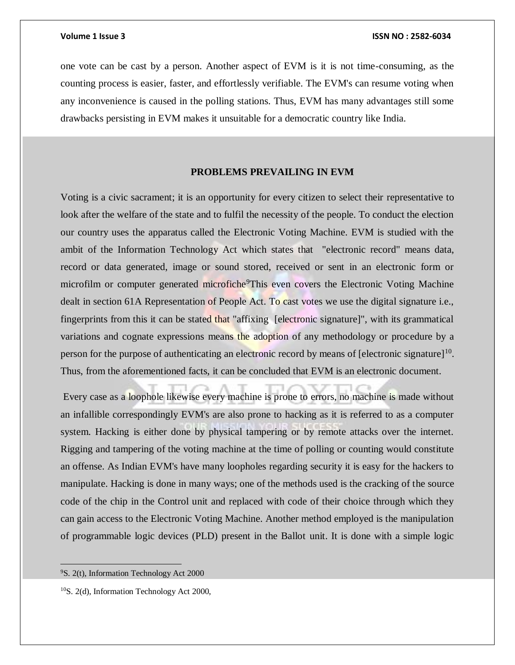one vote can be cast by a person. Another aspect of EVM is it is not time-consuming, as the counting process is easier, faster, and effortlessly verifiable. The EVM's can resume voting when any inconvenience is caused in the polling stations. Thus, EVM has many advantages still some drawbacks persisting in EVM makes it unsuitable for a democratic country like India.

# **PROBLEMS PREVAILING IN EVM**

Voting is a civic sacrament; it is an opportunity for every citizen to select their representative to look after the welfare of the state and to fulfil the necessity of the people. To conduct the election our country uses the apparatus called the Electronic Voting Machine. EVM is studied with the ambit of the Information Technology Act which states that "electronic record" means data, record or data generated, image or sound stored, received or sent in an electronic form or microfilm or computer generated microfiche<sup>9</sup>This even covers the Electronic Voting Machine dealt in section 61A Representation of People Act. To cast votes we use the digital signature i.e., fingerprints from this it can be stated that "affixing [electronic signature]", with its grammatical variations and cognate expressions means the adoption of any methodology or procedure by a person for the purpose of authenticating an electronic record by means of [electronic signature]<sup>10</sup>. Thus, from the aforementioned facts, it can be concluded that EVM is an electronic document.

Every case as a loophole likewise every machine is prone to errors, no machine is made without an infallible correspondingly EVM's are also prone to hacking as it is referred to as a computer system. Hacking is either done by physical tampering or by remote attacks over the internet. Rigging and tampering of the voting machine at the time of polling or counting would constitute an offense. As Indian EVM's have many loopholes regarding security it is easy for the hackers to manipulate. Hacking is done in many ways; one of the methods used is the cracking of the source code of the chip in the Control unit and replaced with code of their choice through which they can gain access to the Electronic Voting Machine. Another method employed is the manipulation of programmable logic devices (PLD) present in the Ballot unit. It is done with a simple logic

 $\overline{a}$ 

<sup>9</sup>S. 2(t), Information Technology Act 2000

<sup>&</sup>lt;sup>10</sup>S. 2(d), Information Technology Act 2000,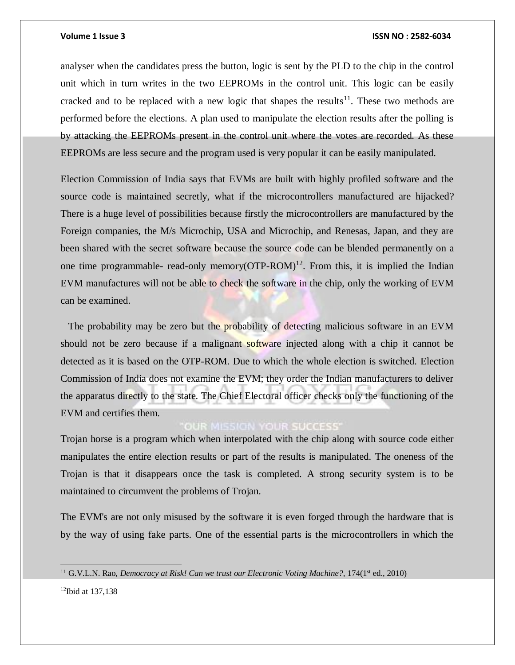analyser when the candidates press the button, logic is sent by the PLD to the chip in the control unit which in turn writes in the two EEPROMs in the control unit. This logic can be easily cracked and to be replaced with a new logic that shapes the results<sup>11</sup>. These two methods are performed before the elections. A plan used to manipulate the election results after the polling is by attacking the EEPROMs present in the control unit where the votes are recorded. As these EEPROMs are less secure and the program used is very popular it can be easily manipulated.

Election Commission of India says that EVMs are built with highly profiled software and the source code is maintained secretly, what if the microcontrollers manufactured are hijacked? There is a huge level of possibilities because firstly the microcontrollers are manufactured by the Foreign companies, the M/s Microchip, USA and Microchip, and Renesas, Japan, and they are been shared with the secret software because the source code can be blended permanently on a one time programmable- read-only memory( $\text{OTP-ROM}$ )<sup>12</sup>. From this, it is implied the Indian EVM manufactures will not be able to check the software in the chip, only the working of EVM can be examined.

The probability may be zero but the probability of detecting malicious software in an EVM should not be zero because if a malignant software injected along with a chip it cannot be detected as it is based on the OTP-ROM. Due to which the whole election is switched. Election Commission of India does not examine the EVM; they order the Indian manufacturers to deliver the apparatus directly to the state. The Chief Electoral officer checks only the functioning of the EVM and certifies them.

# **OUR MISSION YOUR SUCCESS'**

Trojan horse is a program which when interpolated with the chip along with source code either manipulates the entire election results or part of the results is manipulated. The oneness of the Trojan is that it disappears once the task is completed. A strong security system is to be maintained to circumvent the problems of Trojan.

The EVM's are not only misused by the software it is even forged through the hardware that is by the way of using fake parts. One of the essential parts is the microcontrollers in which the

12Ibid at 137,138

 $\overline{a}$ 

<sup>&</sup>lt;sup>11</sup> G.V.L.N. Rao, *Democracy at Risk! Can we trust our Electronic Voting Machine?*, 174(1<sup>st</sup> ed., 2010)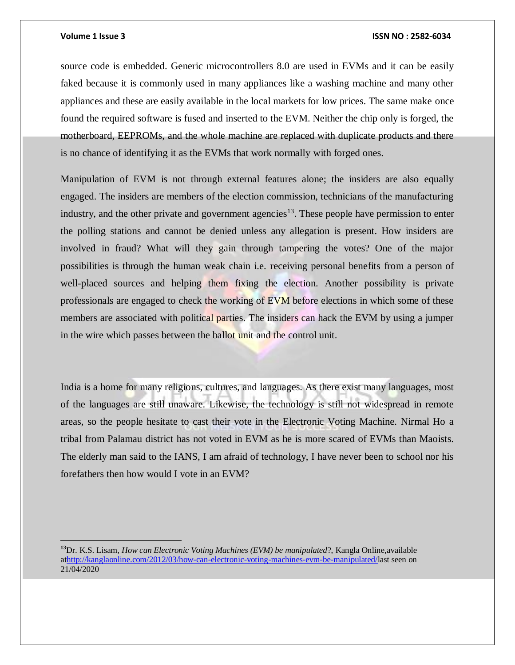### **Volume 1 Issue 3 ISSN NO : 2582-6034**

source code is embedded. Generic microcontrollers 8.0 are used in EVMs and it can be easily faked because it is commonly used in many appliances like a washing machine and many other appliances and these are easily available in the local markets for low prices. The same make once found the required software is fused and inserted to the EVM. Neither the chip only is forged, the motherboard, EEPROMs, and the whole machine are replaced with duplicate products and there is no chance of identifying it as the EVMs that work normally with forged ones.

Manipulation of EVM is not through external features alone; the insiders are also equally engaged. The insiders are members of the election commission, technicians of the manufacturing industry, and the other private and government agencies<sup>13</sup>. These people have permission to enter the polling stations and cannot be denied unless any allegation is present. How insiders are involved in fraud? What will they gain through tampering the votes? One of the major possibilities is through the human weak chain i.e. receiving personal benefits from a person of well-placed sources and helping them fixing the election. Another possibility is private professionals are engaged to check the working of EVM before elections in which some of these members are associated with political parties. The insiders can hack the EVM by using a jumper in the wire which passes between the ballot unit and the control unit.

India is a home for many religions, cultures, and languages. As there exist many languages, most of the languages are still unaware. Likewise, the technology is still not widespread in remote areas, so the people hesitate to cast their vote in the Electronic Voting Machine. Nirmal Ho a tribal from Palamau district has not voted in EVM as he is more scared of EVMs than Maoists. The elderly man said to the IANS, I am afraid of technology, I have never been to school nor his forefathers then how would I vote in an EVM?

**<sup>13</sup>**Dr. K.S. Lisam, *How can Electronic Voting Machines (EVM) be manipulated*?, Kangla Online,available a[thttp://kanglaonline.com/2012/03/how-can-electronic-voting-machines-evm-be-manipulated/l](http://kanglaonline.com/2012/03/how-can-electronic-voting-machines-evm-be-manipulated/)ast seen on 21/04/2020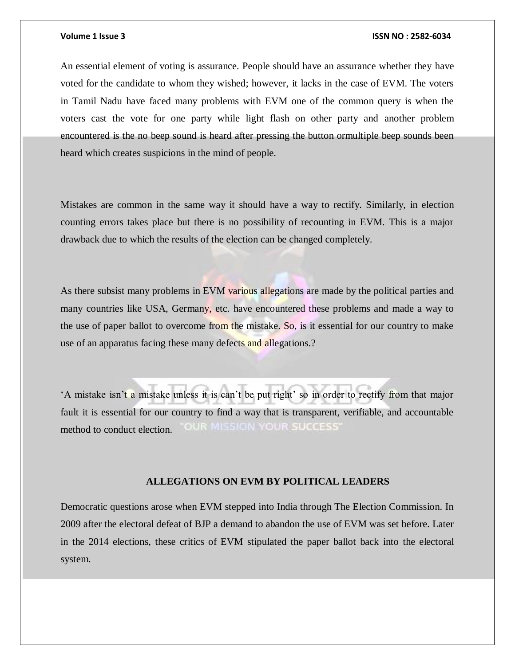An essential element of voting is assurance. People should have an assurance whether they have voted for the candidate to whom they wished; however, it lacks in the case of EVM. The voters in Tamil Nadu have faced many problems with EVM one of the common query is when the voters cast the vote for one party while light flash on other party and another problem encountered is the no beep sound is heard after pressing the button ormultiple beep sounds been heard which creates suspicions in the mind of people.

Mistakes are common in the same way it should have a way to rectify. Similarly, in election counting errors takes place but there is no possibility of recounting in EVM. This is a major drawback due to which the results of the election can be changed completely.

As there subsist many problems in EVM various allegations are made by the political parties and many countries like USA, Germany, etc. have encountered these problems and made a way to the use of paper ballot to overcome from the mistake. So, is it essential for our country to make use of an apparatus facing these many defects and allegations.?

'A mistake isn't a mistake unless it is can't be put right' so in order to rectify from that major fault it is essential for our country to find a way that is transparent, verifiable, and accountable **OUR MISSION YOUR SUCCESS'** method to conduct election.

# **ALLEGATIONS ON EVM BY POLITICAL LEADERS**

Democratic questions arose when EVM stepped into India through The Election Commission. In 2009 after the electoral defeat of BJP a demand to abandon the use of EVM was set before. Later in the 2014 elections, these critics of EVM stipulated the paper ballot back into the electoral system.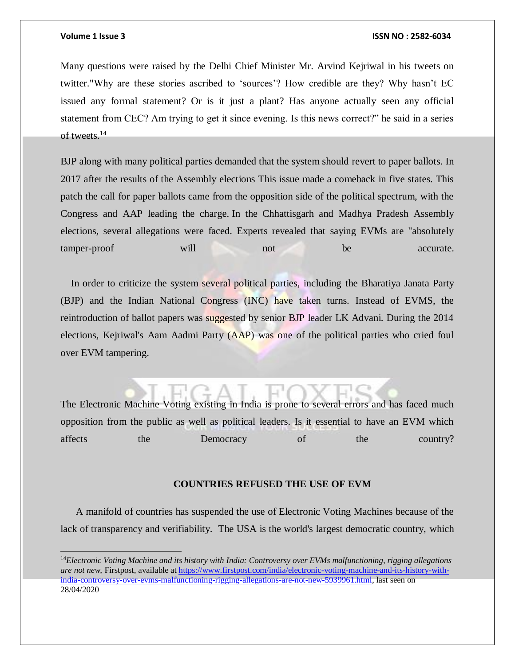$\overline{a}$ 

### **Volume 1 Issue 3 ISSN NO : 2582-6034**

Many questions were raised by the Delhi Chief Minister Mr. Arvind Kejriwal in his tweets on twitter."Why are these stories ascribed to 'sources'? How credible are they? Why hasn't EC issued any formal statement? Or is it just a plant? Has anyone actually seen any official statement from CEC? Am trying to get it since evening. Is this news correct?" he said in a series of tweets. 14

BJP along with many political parties demanded that the system should revert to paper ballots. In 2017 after the results of the Assembly elections This issue made a comeback in five states. This patch the call for paper ballots came from the opposition side of the political spectrum, with the Congress and AAP leading the charge. In the Chhattisgarh and Madhya Pradesh Assembly elections, several allegations were faced. Experts revealed that saying EVMs are "absolutely tamper-proof will not be accurate.

 In order to criticize the system several political parties, including the Bharatiya Janata Party (BJP) and the Indian National Congress (INC) have taken turns. Instead of EVMS, the reintroduction of ballot papers was suggested by senior BJP leader LK Advani. During the 2014 elections, Kejriwal's Aam Aadmi Party (AAP) was one of the political parties who cried foul over EVM tampering.

The Electronic Machine Voting existing in India is prone to several errors and has faced much opposition from the public as well as political leaders. Is it essential to have an EVM which affects the Democracy of the country?

### **COUNTRIES REFUSED THE USE OF EVM**

 A manifold of countries has suspended the use of Electronic Voting Machines because of the lack of transparency and verifiability. The USA is the world's largest democratic country, which

<sup>14</sup>*Electronic Voting Machine and its history with India: Controversy over EVMs malfunctioning, rigging allegations are not new,* Firstpost, available a[t https://www.firstpost.com/india/electronic-voting-machine-and-its-history-with](https://www.firstpost.com/india/electronic-voting-machine-and-its-history-with-india-controversy-over-evms-malfunctioning-rigging-allegations-are-not-new-5939961.html)[india-controversy-over-evms-malfunctioning-rigging-allegations-are-not-new-5939961.html,](https://www.firstpost.com/india/electronic-voting-machine-and-its-history-with-india-controversy-over-evms-malfunctioning-rigging-allegations-are-not-new-5939961.html) last seen on 28/04/2020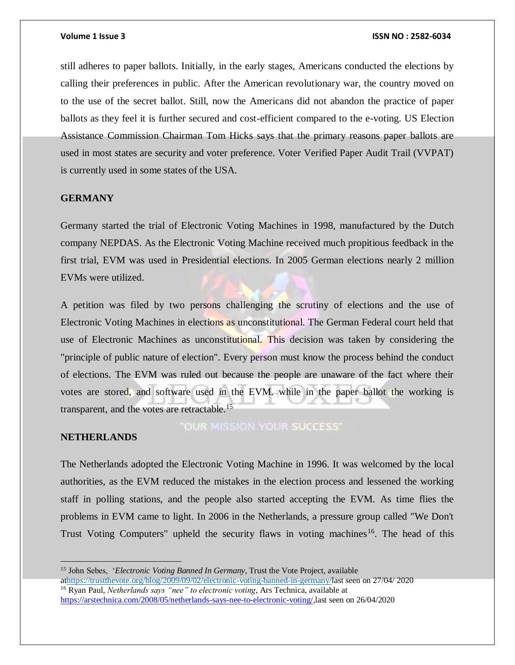still adheres to paper ballots. Initially, in the early stages, Americans conducted the elections by calling their preferences in public. After the American revolutionary war, the country moved on to the use of the secret ballot. Still, now the Americans did not abandon the practice of paper ballots as they feel it is further secured and cost-efficient compared to the e-voting. US Election Assistance Commission Chairman Tom Hicks says that the primary reasons paper ballots are used in most states are security and voter preference. Voter Verified Paper Audit Trail (VVPAT) is currently used in some states of the USA.

# **GERMANY**

Germany started the trial of Electronic Voting Machines in 1998, manufactured by the Dutch company NEPDAS. As the Electronic Voting Machine received much propitious feedback in the first trial, EVM was used in Presidential elections. In 2005 German elections nearly 2 million EVMs were utilized.

A petition was filed by two persons challenging the scrutiny of elections and the use of Electronic Voting Machines in elections as unconstitutional. The German Federal court held that use of Electronic Machines as unconstitutional. This decision was taken by considering the "principle of public nature of election". Every person must know the process behind the conduct of elections. The EVM was ruled out because the people are unaware of the fact where their votes are stored, and software used in the EVM. while in the paper ballot the working is transparent, and the votes are retractable.<sup>15</sup>

### **NETHERLANDS**

**OUR MISSION YOUR SUCCESS'** 

The Netherlands adopted the Electronic Voting Machine in 1996. It was welcomed by the local authorities, as the EVM reduced the mistakes in the election process and lessened the working staff in polling stations, and the people also started accepting the EVM. As time flies the problems in EVM came to light. In 2006 in the Netherlands, a pressure group called "We Don't Trust Voting Computers" upheld the security flaws in voting machines<sup>16</sup>. The head of this

a[thttps://trustthevote.org/blog/2009/09/02/electronic-voting-banned-in-germany/l](https://trustthevote.org/blog/2009/09/02/electronic-voting-banned-in-germany/)ast seen on 27/04/ 2020 <sup>16</sup> Ryan Paul, *Netherlands says "nee" to electronic voting*, Ars Technica, available at [https://arstechnica.com/2008/05/netherlands-says-nee-to-electronic-voting/,](https://arstechnica.com/2008/05/netherlands-says-nee-to-electronic-voting/)last seen on 26/04/2020

<sup>15</sup> John Sebes, '*Electronic Voting Banned In Germany*, Trust the Vote Project, available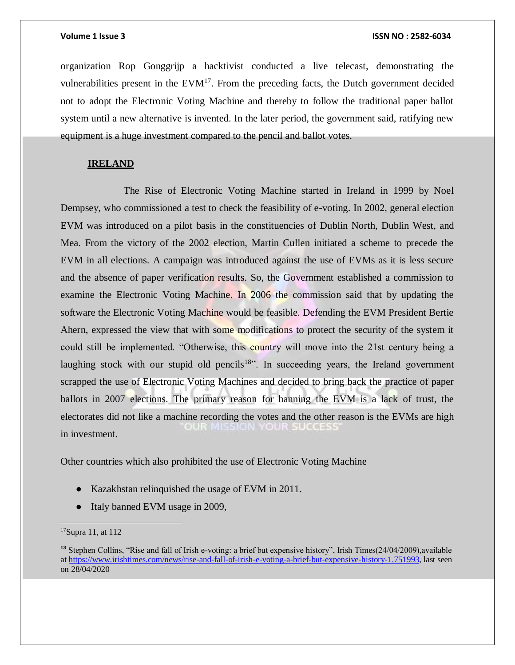organization Rop Gonggrijp a hacktivist conducted a live telecast, demonstrating the vulnerabilities present in the  $EVM<sup>17</sup>$ . From the preceding facts, the Dutch government decided not to adopt the Electronic Voting Machine and thereby to follow the traditional paper ballot system until a new alternative is invented. In the later period, the government said, ratifying new equipment is a huge investment compared to the pencil and ballot votes.

# **IRELAND**

 The Rise of Electronic Voting Machine started in Ireland in 1999 by Noel Dempsey, who commissioned a test to check the feasibility of e-voting. In 2002, general election EVM was introduced on a pilot basis in the constituencies of Dublin North, Dublin West, and Mea. From the victory of the 2002 election, Martin Cullen initiated a scheme to precede the EVM in all elections. A campaign was introduced against the use of EVMs as it is less secure and the absence of paper verification results. So, the Government established a commission to examine the Electronic Voting Machine. In 2006 the commission said that by updating the software the Electronic Voting Machine would be feasible. Defending the EVM President Bertie Ahern, expressed the view that with some modifications to protect the security of the system it could still be implemented. "Otherwise, this country will move into the 21st century being a laughing stock with our stupid old pencils<sup>18</sup>. In succeeding years, the Ireland government scrapped the use of Electronic Voting Machines and decided to bring back the practice of paper ballots in 2007 elections. The primary reason for banning the EVM is a lack of trust, the electorates did not like a machine recording the votes and the other reason is the EVMs are high OUR MISSION YOUR SUCCESS in investment.

Other countries which also prohibited the use of Electronic Voting Machine

- Kazakhstan relinquished the usage of EVM in 2011.
- Italy banned EVM usage in 2009,

<sup>&</sup>lt;sup>17</sup>Supra 11, at 112

**<sup>18</sup>** Stephen Collins, "Rise and fall of Irish e-voting: a brief but expensive history", Irish Times(24/04/2009),available a[t https://www.irishtimes.com/news/rise-and-fall-of-irish-e-voting-a-brief-but-expensive-history-1.751993,](https://www.irishtimes.com/news/rise-and-fall-of-irish-e-voting-a-brief-but-expensive-history-1.751993) last seen on 28/04/2020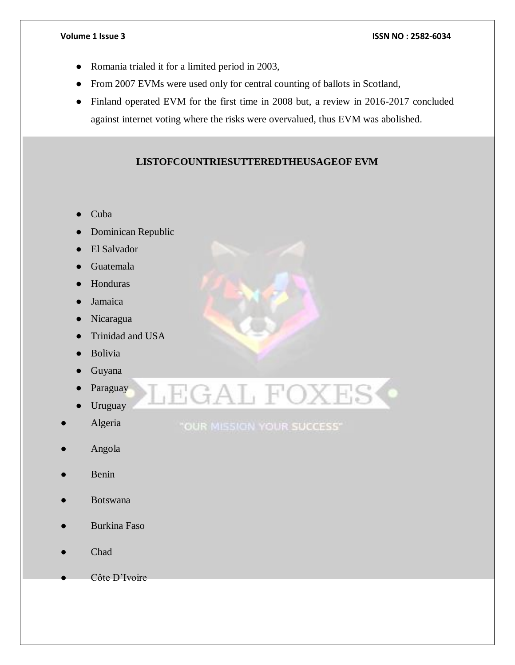- Romania trialed it for a limited period in 2003,
- From 2007 EVMs were used only for central counting of ballots in Scotland,
- Finland operated EVM for the first time in 2008 but, a review in 2016-2017 concluded against internet voting where the risks were overvalued, thus EVM was abolished.

# **LISTOFCOUNTRIESUTTEREDTHEUSAGEOF EVM**

- Cuba
- Dominican Republic
- **El Salvador**
- Guatemala
- Honduras
- **Jamaica**
- Nicaragua
- Trinidad and USA
- Bolivia
- Guyana
- Paraguay
- Uruguay
- Algeria
- Angola
- **Benin**
- **Botswana**
- Burkina Faso
- Chad
- Côte D'Ivoire

LEGAL FOXES<sup>.</sup>

"OUR MISSION YOUR SUCCESS"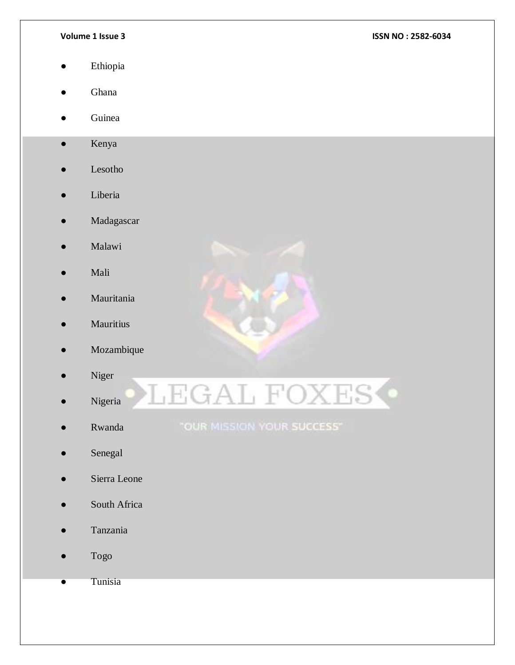- Ethiopia
- Ghana
- Guinea
- Kenya
- Lesotho
- Liberia
- Madagascar
- Malawi
- Mali
- **Mauritania**
- Mauritius
- Mozambique
- Niger
- Nigeria
- Rwanda
- Senegal
- Sierra Leone
- South Africa
- Tanzania
- Togo
- Tunisia



**EGAL FOXES** 

"OUR MISSION YOUR SUCCESS"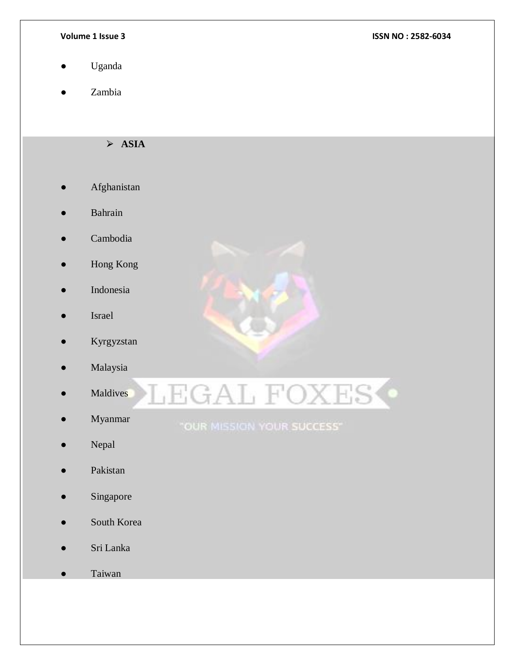- Uganda
- Zambia

 $\triangleright$  **ASIA** 

- Afghanistan
- **Bahrain**
- Cambodia
- Hong Kong
- Indonesia
- Israel
- Kyrgyzstan
- Malaysia
- Maldives
- Myanmar
- Nepal
- Pakistan
- Singapore
- South Korea
- Sri Lanka
- Taiwan





# "OUR MISSION YOUR SUCCESS"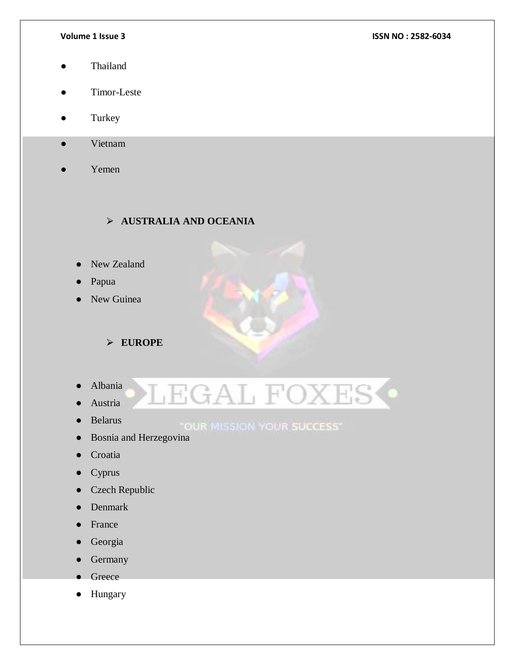- Thailand
- Timor-Leste
- Turkey
- Vietnam
- Yemen

⮚ **AUSTRALIA AND OCEANIA**

- **New Zealand**
- Papua
- New Guinea

⮚ **EUROPE**

- Albania
- Austria
- Belarus

"OUR MISSION YOUR SUCCESS"

**EGAL FOXES** 

- Bosnia and Herzegovina
- Croatia
- Cyprus
- Czech Republic
- **Denmark**
- **France**
- Georgia
- Germany
- Greece
- Hungary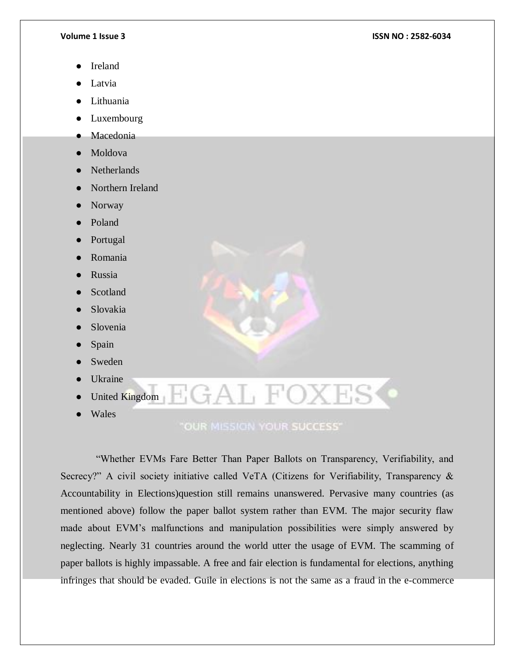- **Ireland**
- Latvia
- Lithuania
- Luxembourg
- Macedonia
- Moldova
- **Netherlands**
- Northern Ireland
- Norway
- Poland
- Portugal
- **Romania**
- **Russia**
- **Scotland**
- Slovakia
- Slovenia
- Spain
- **Sweden**
- **Ukraine**
- United Kingdom
- Wales

**"OUR MISSION YOUR SUCCESS"** 

AL FOXES

 "Whether EVMs Fare Better Than Paper Ballots on Transparency, Verifiability, and Secrecy?" A civil society initiative called VeTA (Citizens for Verifiability, Transparency & Accountability in Elections)question still remains unanswered. Pervasive many countries (as mentioned above) follow the paper ballot system rather than EVM. The major security flaw made about EVM's malfunctions and manipulation possibilities were simply answered by neglecting. Nearly 31 countries around the world utter the usage of EVM. The scamming of paper ballots is highly impassable. A free and fair election is fundamental for elections, anything infringes that should be evaded. Guile in elections is not the same as a fraud in the e-commerce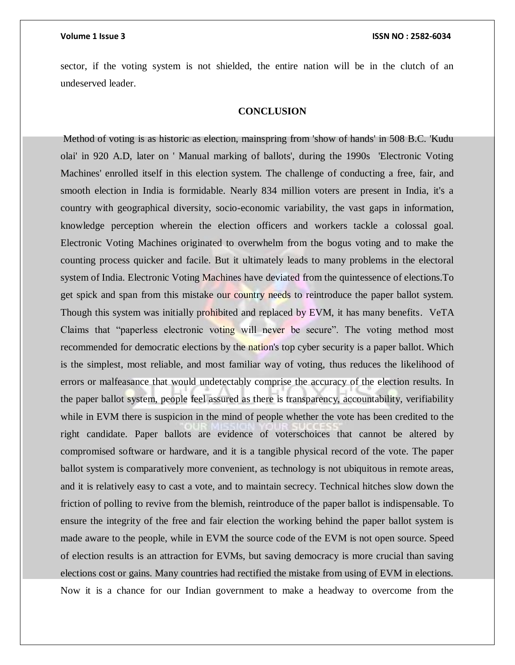sector, if the voting system is not shielded, the entire nation will be in the clutch of an undeserved leader.

# **CONCLUSION**

Method of voting is as historic as election, mainspring from 'show of hands' in 508 B.C. 'Kudu olai' in 920 A.D, later on ' Manual marking of ballots', during the 1990s 'Electronic Voting Machines' enrolled itself in this election system. The challenge of conducting a free, fair, and smooth election in India is formidable. Nearly 834 million voters are present in India, it's a country with geographical diversity, socio-economic variability, the vast gaps in information, knowledge perception wherein the election officers and workers tackle a colossal goal. Electronic Voting Machines originated to overwhelm from the bogus voting and to make the counting process quicker and facile. But it ultimately leads to many problems in the electoral system of India. Electronic Voting Machines have deviated from the quintessence of elections.To get spick and span from this mistake our country needs to reintroduce the paper ballot system. Though this system was initially prohibited and replaced by EVM, it has many benefits. VeTA Claims that "paperless electronic voting will never be secure". The voting method most recommended for democratic elections by the nation's top cyber security is a paper ballot. Which is the simplest, most reliable, and most familiar way of voting, thus reduces the likelihood of errors or malfeasance that would undetectably comprise the accuracy of the election results. In the paper ballot system, people feel assured as there is transparency, accountability, verifiability while in EVM there is suspicion in the mind of people whether the vote has been credited to the right candidate. Paper ballots are evidence of voterschoices that cannot be altered by compromised software or hardware, and it is a tangible physical record of the vote. The paper ballot system is comparatively more convenient, as technology is not ubiquitous in remote areas, and it is relatively easy to cast a vote, and to maintain secrecy. Technical hitches slow down the friction of polling to revive from the blemish, reintroduce of the paper ballot is indispensable. To ensure the integrity of the free and fair election the working behind the paper ballot system is made aware to the people, while in EVM the source code of the EVM is not open source. Speed of election results is an attraction for EVMs, but saving democracy is more crucial than saving elections cost or gains. Many countries had rectified the mistake from using of EVM in elections. Now it is a chance for our Indian government to make a headway to overcome from the